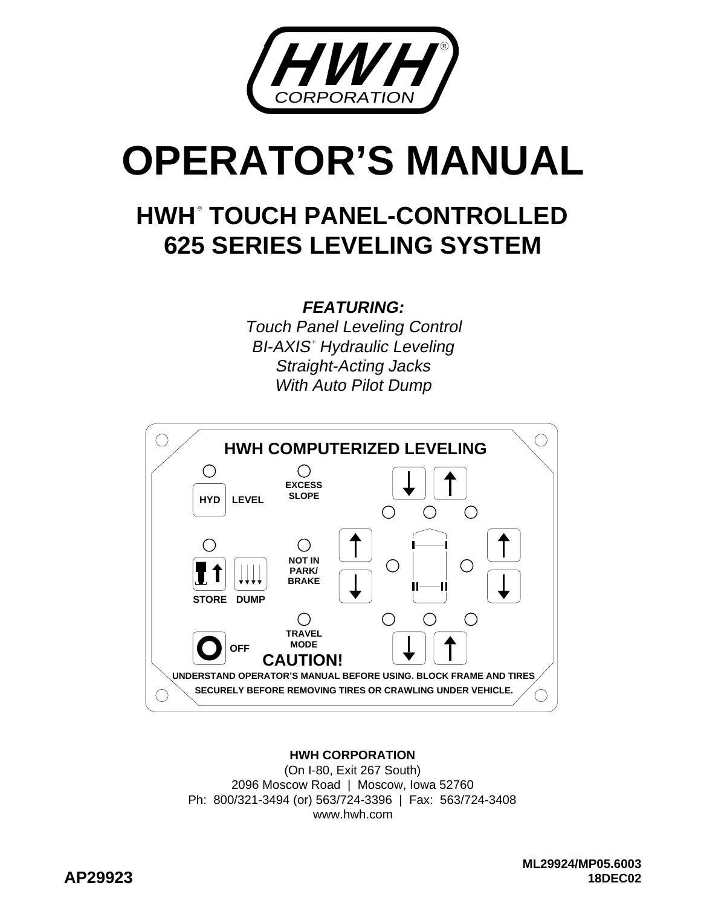

# **OPERATOR'S MANUAL**

# **625 SERIES LEVELING SYSTEM HWH TOUCH PANEL-CONTROLLED R**

#### **FEATURING:**

Touch Panel Leveling Control BI-AXIS° Hydraulic Leveling Straight-Acting Jacks With Auto Pilot Dump



#### **HWH CORPORATION**

(On I-80, Exit 267 South) 2096 Moscow Road | Moscow, Iowa 52760 Ph: 800/321-3494 (or) 563/724-3396 | Fax: 563/724-3408 www.hwh.com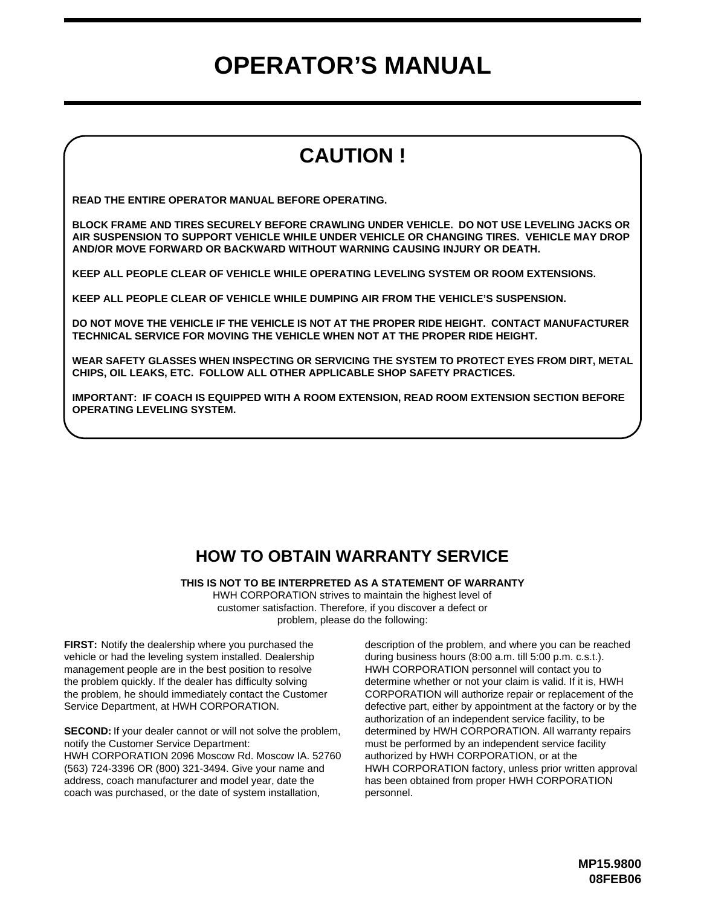# **OPERATOR'S MANUAL**

# **CAUTION !**

**READ THE ENTIRE OPERATOR MANUAL BEFORE OPERATING.**

**BLOCK FRAME AND TIRES SECURELY BEFORE CRAWLING UNDER VEHICLE. DO NOT USE LEVELING JACKS OR AIR SUSPENSION TO SUPPORT VEHICLE WHILE UNDER VEHICLE OR CHANGING TIRES. VEHICLE MAY DROP AND/OR MOVE FORWARD OR BACKWARD WITHOUT WARNING CAUSING INJURY OR DEATH.**

**KEEP ALL PEOPLE CLEAR OF VEHICLE WHILE OPERATING LEVELING SYSTEM OR ROOM EXTENSIONS.**

**KEEP ALL PEOPLE CLEAR OF VEHICLE WHILE DUMPING AIR FROM THE VEHICLE'S SUSPENSION.**

**DO NOT MOVE THE VEHICLE IF THE VEHICLE IS NOT AT THE PROPER RIDE HEIGHT. CONTACT MANUFACTURER TECHNICAL SERVICE FOR MOVING THE VEHICLE WHEN NOT AT THE PROPER RIDE HEIGHT.**

**WEAR SAFETY GLASSES WHEN INSPECTING OR SERVICING THE SYSTEM TO PROTECT EYES FROM DIRT, METAL CHIPS, OIL LEAKS, ETC. FOLLOW ALL OTHER APPLICABLE SHOP SAFETY PRACTICES.**

**IMPORTANT: IF COACH IS EQUIPPED WITH A ROOM EXTENSION, READ ROOM EXTENSION SECTION BEFORE OPERATING LEVELING SYSTEM.**

#### **HOW TO OBTAIN WARRANTY SERVICE**

**THIS IS NOT TO BE INTERPRETED AS A STATEMENT OF WARRANTY**

HWH CORPORATION strives to maintain the highest level of customer satisfaction. Therefore, if you discover a defect or problem, please do the following:

**FIRST:** Notify the dealership where you purchased the vehicle or had the leveling system installed. Dealership management people are in the best position to resolve the problem quickly. If the dealer has difficulty solving the problem, he should immediately contact the Customer Service Department, at HWH CORPORATION.

(563) 724-3396 OR (800) 321-3494. Give your name and coach was purchased, or the date of system installation, **SECOND:** If your dealer cannot or will not solve the problem, notify the Customer Service Department: HWH CORPORATION 2096 Moscow Rd. Moscow IA. 52760 address, coach manufacturer and model year, date the

authorization of an independent service facility, to be defective part, either by appointment at the factory or by the CORPORATION will authorize repair or replacement of the determine whether or not your claim is valid. If it is, HWH HWH CORPORATION personnel will contact you to during business hours (8:00 a.m. till 5:00 p.m. c.s.t.). description of the problem, and where you can be reached determined by HWH CORPORATION. All warranty repairs must be performed by an independent service facility authorized by HWH CORPORATION, or at the HWH CORPORATION factory, unless prior written approval has been obtained from proper HWH CORPORATION personnel.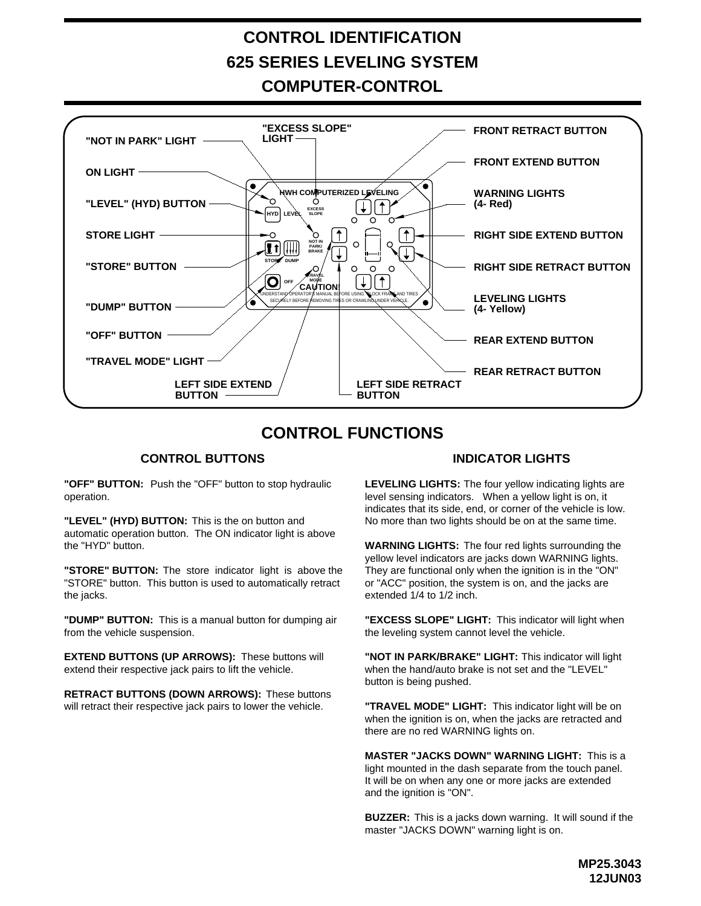# **CONTROL IDENTIFICATION 625 SERIES LEVELING SYSTEM**

**COMPUTER-CONTROL**



#### **CONTROL FUNCTIONS**

#### **CONTROL BUTTONS INDICATOR LIGHTS**

**"OFF" BUTTON:** Push the "OFF" button to stop hydraulic operation.

"LEVEL" (HYD) BUTTON: This is the on button and automatic operation button. The ON indicator light is above the "HYD" button.

**"STORE" BUTTON:** The store indicator light is above the "STORE" button. This button is used to automatically retract the jacks.

"**DUMP" BUTTON:** This is a manual button for dumping air from the vehicle suspension.

**EXTEND BUTTONS (UP ARROWS):** These buttons will extend their respective jack pairs to lift the vehicle.

**RETRACT BUTTONS (DOWN ARROWS):** These buttons will retract their respective jack pairs to lower the vehicle.

**LEVELING LIGHTS:** The four yellow indicating lights are level sensing indicators. When a yellow light is on, it indicates that its side, end, or corner of the vehicle is low. No more than two lights should be on at the same time.

**WARNING LIGHTS:** The four red lights surrounding the yellow level indicators are jacks down WARNING lights. They are functional only when the ignition is in the "ON" extended 1/4 to 1/2 inch. or "ACC" position, the system is on, and the jacks are

This is a manual button for dumping air **TEXCESS SLOPE" LIGHT:** This indicator will light when the leveling system cannot level the vehicle.

> **"NOT IN PARK/BRAKE" LIGHT:** This indicator will light when the hand/auto brake is not set and the "LEVEL" button is being pushed.

> **"TRAVEL MODE" LIGHT:** This indicator light will be on when the ignition is on, when the jacks are retracted and there are no red WARNING lights on.

**MASTER "JACKS DOWN" WARNING LIGHT:** This is a light mounted in the dash separate from the touch panel. and the ignition is "ON". It will be on when any one or more jacks are extended

**BUZZER:** This is a jacks down warning. It will sound if the master "JACKS DOWN" warning light is on.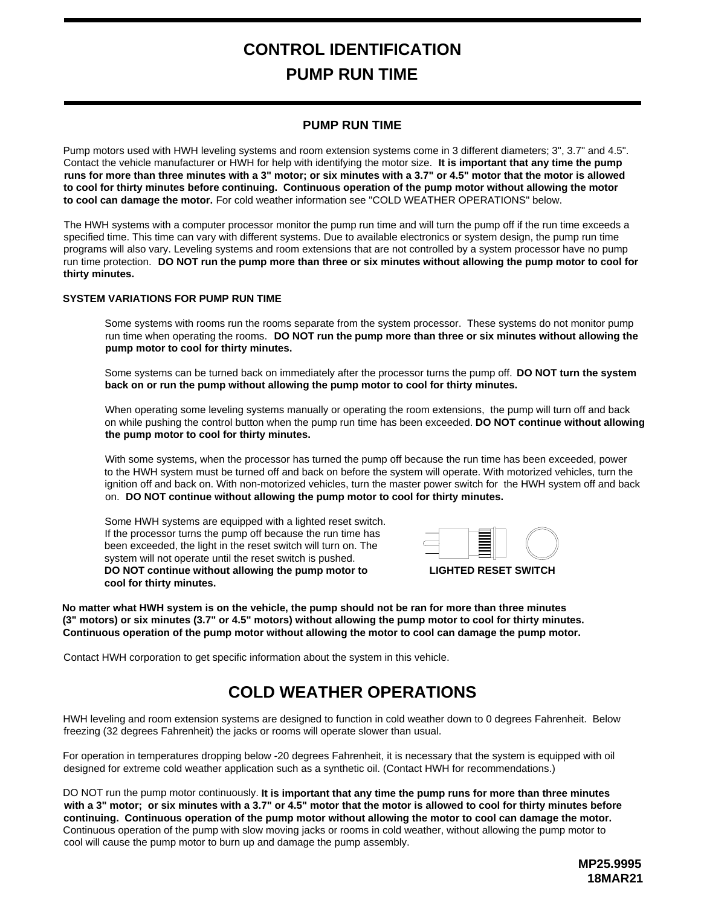# **CONTROL IDENTIFICATION PUMP RUN TIME**

#### **PUMP RUN TIME**

Pump motors used with HWH leveling systems and room extension systems come in 3 different diameters; 3", 3.7" and 4.5". Contact the vehicle manufacturer or HWH for help with identifying the motor size. **It is important that any time the pump runs for more than three minutes with a 3" motor; or six minutes with a 3.7" or 4.5" motor that the motor is allowed to cool for thirty minutes before continuing. Continuous operation of the pump motor without allowing the motor**  to cool can damage the motor. For cold weather information see "COLD WEATHER OPERATIONS" below.

The HWH systems with a computer processor monitor the pump run time and will turn the pump off if the run time exceeds a specified time. This time can vary with different systems. Due to available electronics or system design, the pump run time programs will also vary. Leveling systems and room extensions that are not controlled by a system processor have no pump run time protection. **DO NOT run the pump more than three or six minutes without allowing the pump motor to cool for thirty minutes.**

#### **SYSTEM VARIATIONS FOR PUMP RUN TIME**

Some systems with rooms run the rooms separate from the system processor. These systems do not monitor pump run time when operating the rooms. DO NOT run the pump more than three or six minutes without allowing the **pump motor to cool for thirty minutes.**

Some systems can be turned back on immediately after the processor turns the pump off. **DO NOT turn the system back on or run the pump without allowing the pump motor to cool for thirty minutes.**

When operating some leveling systems manually or operating the room extensions, the pump will turn off and back on while pushing the control button when the pump run time has been exceeded. **DO NOT continue without allowing the pump motor to cool for thirty minutes.**

With some systems, when the processor has turned the pump off because the run time has been exceeded, power to the HWH system must be turned off and back on before the system will operate. With motorized vehicles, turn the ignition off and back on. With non-motorized vehicles, turn the master power switch for the HWH system off and back **DO NOT continue without allowing the pump motor to cool for thirty minutes.** on.

Some HWH systems are equipped with a lighted reset switch. If the processor turns the pump off because the run time has been exceeded, the light in the reset switch will turn on. The system will not operate until the reset switch is pushed. **DO NOT continue without allowing the pump motor to cool for thirty minutes.**



**LIGHTED RESET SWITCH**

**No matter what HWH system is on the vehicle, the pump should not be ran for more than three minutes (3" motors) or six minutes (3.7" or 4.5" motors) without allowing the pump motor to cool for thirty minutes. Continuous operation of the pump motor without allowing the motor to cool can damage the pump motor.**

Contact HWH corporation to get specific information about the system in this vehicle.

#### **COLD WEATHER OPERATIONS**

HWH leveling and room extension systems are designed to function in cold weather down to 0 degrees Fahrenheit. Below freezing (32 degrees Fahrenheit) the jacks or rooms will operate slower than usual.

For operation in temperatures dropping below -20 degrees Fahrenheit, it is necessary that the system is equipped with oil designed for extreme cold weather application such as a synthetic oil. (Contact HWH for recommendations.)

DO NOT run the pump motor continuously. It is important that any time the pump runs for more than three minutes Continuous operation of the pump with slow moving jacks or rooms in cold weather, without allowing the pump motor to cool will cause the pump motor to burn up and damage the pump assembly. **continuing. Continuous operation of the pump motor without allowing the motor to cool can damage the motor. with a 3" motor; or six minutes with a 3.7" or 4.5" motor that the motor is allowed to cool for thirty minutes before**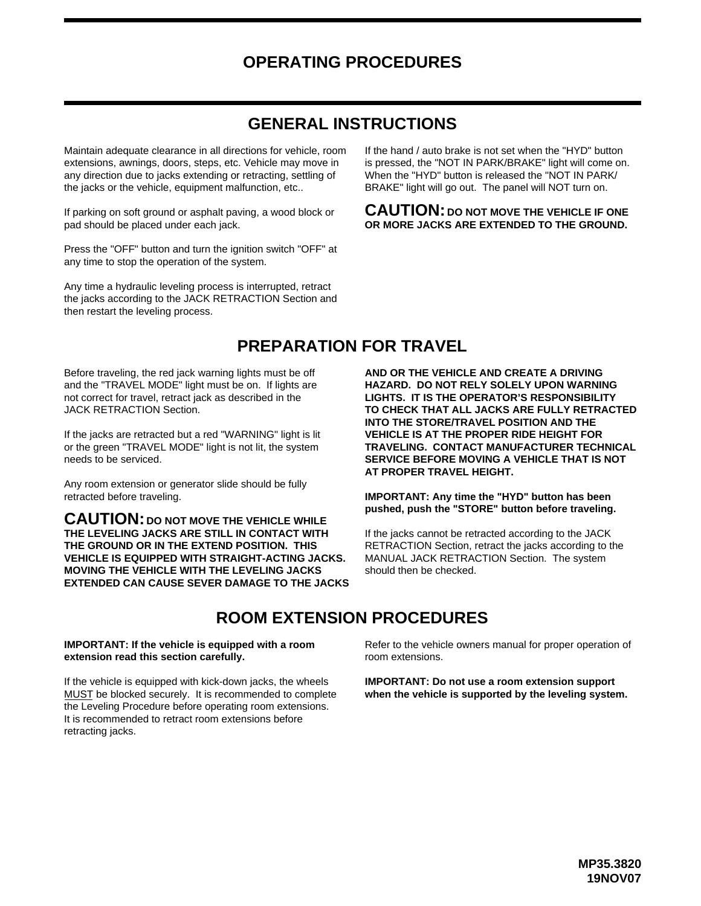#### **OPERATING PROCEDURES**

#### **GENERAL INSTRUCTIONS**

Maintain adequate clearance in all directions for vehicle, room extensions, awnings, doors, steps, etc. Vehicle may move in any direction due to jacks extending or retracting, settling of the jacks or the vehicle, equipment malfunction, etc..

If parking on soft ground or asphalt paving, a wood block or pad should be placed under each jack.

Press the "OFF" button and turn the ignition switch "OFF" at any time to stop the operation of the system.

Any time a hydraulic leveling process is interrupted, retract the jacks according to the JACK RETRACTION Section and then restart the leveling process.

If the hand / auto brake is not set when the "HYD" button is pressed, the "NOT IN PARK/BRAKE" light will come on. When the "HYD" button is released the "NOT IN PARK/ BRAKE" light will go out. The panel will NOT turn on.

#### CAUTION: DO NOT MOVE THE VEHICLE IF ONE **OR MORE JACKS ARE EXTENDED TO THE GROUND.**

#### **PREPARATION FOR TRAVEL**

Before traveling, the red jack warning lights must be off and the "TRAVEL MODE" light must be on. If lights are not correct for travel, retract jack as described in the JACK RETRACTION Section.

If the jacks are retracted but a red "WARNING" light is lit or the green "TRAVEL MODE" light is not lit, the system needs to be serviced.

Any room extension or generator slide should be fully

**EXTENDED CAN CAUSE SEVER DAMAGE TO THE JACKS MOVING THE VEHICLE WITH THE LEVELING JACKS VEHICLE IS EQUIPPED WITH STRAIGHT-ACTING JACKS. THE GROUND OR IN THE EXTEND POSITION. THIS THE LEVELING JACKS ARE STILL IN CONTACT WITH CAUTION: DO NOT MOVE THE VEHICLE WHILE** 

**TO CHECK THAT ALL JACKS ARE FULLY RETRACTED LIGHTS. IT IS THE OPERATOR'S RESPONSIBILITY HAZARD. DO NOT RELY SOLELY UPON WARNING AND OR THE VEHICLE AND CREATE A DRIVING INTO THE STORE/TRAVEL POSITION AND THE VEHICLE IS AT THE PROPER RIDE HEIGHT FOR TRAVELING. CONTACT MANUFACTURER TECHNICAL SERVICE BEFORE MOVING A VEHICLE THAT IS NOT AT PROPER TRAVEL HEIGHT.**

#### retracted before traveling. **IMPORTANT: Any time the "HYD" button has been pushed, push the "STORE" button before traveling.**

If the jacks cannot be retracted according to the JACK RETRACTION Section, retract the jacks according to the MANUAL JACK RETRACTION Section. The system should then be checked.

#### **ROOM EXTENSION PROCEDURES**

#### **extension read this section carefully. IMPORTANT: If the vehicle is equipped with a room**

retracting jacks. It is recommended to retract room extensions before the Leveling Procedure before operating room extensions. MUST be blocked securely. It is recommended to complete If the vehicle is equipped with kick-down jacks, the wheels

Refer to the vehicle owners manual for proper operation of room extensions.

**when the vehicle is supported by the leveling system. IMPORTANT: Do not use a room extension support**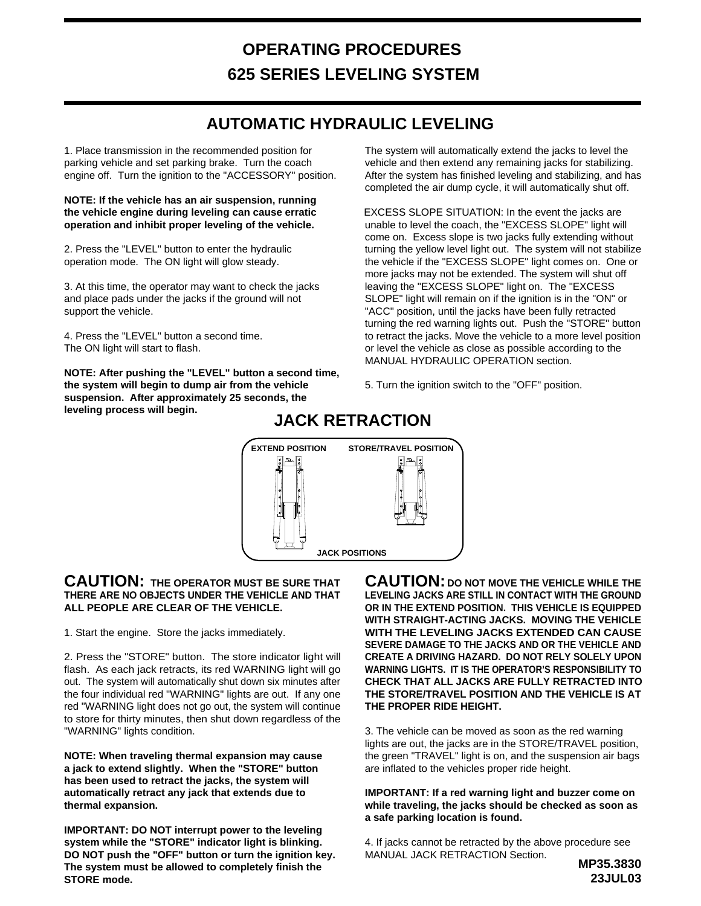# **OPERATING PROCEDURES 625 SERIES LEVELING SYSTEM**

#### **AUTOMATIC HYDRAULIC LEVELING**

1. Place transmission in the recommended position for parking vehicle and set parking brake. Turn the coach engine off. Turn the ignition to the "ACCESSORY" position.

**NOTE: If the vehicle has an air suspension, running the vehicle engine during leveling can cause erratic operation and inhibit proper leveling of the vehicle.**

2. Press the "LEVEL" button to enter the hydraulic operation mode. The ON light will glow steady.

3. At this time, the operator may want to check the jacks and place pads under the jacks if the ground will not support the vehicle.

4. Press the "LEVEL" button a second time. The ON light will start to flash.

**NOTE: After pushing the "LEVEL" button a second time, the system will begin to dump air from the vehicle leveling process will begin. suspension. After approximately 25 seconds, the**

The system will automatically extend the jacks to level the vehicle and then extend any remaining jacks for stabilizing. After the system has finished leveling and stabilizing, and has completed the air dump cycle, it will automatically shut off.

EXCESS SLOPE SITUATION: In the event the jacks are unable to level the coach, the "EXCESS SLOPE" light will come on. Excess slope is two jacks fully extending without turning the yellow level light out. The system will not stabilize the vehicle if the "EXCESS SLOPE" light comes on. One or more jacks may not be extended. The system will shut off leaving the "EXCESS SLOPE" light on. The "EXCESS SLOPE" light will remain on if the ignition is in the "ON" or "ACC" position, until the jacks have been fully retracted turning the red warning lights out. Push the "STORE" button to retract the jacks. Move the vehicle to a more level position or level the vehicle as close as possible according to the MANUAL HYDRAULIC OPERATION section.

5. Turn the ignition switch to the "OFF" position.

#### **JACK RETRACTION**



#### **CAUTION: THE OPERATOR MUST BE SURE THAT THERE ARE NO OBJECTS UNDER THE VEHICLE AND THAT ALL PEOPLE ARE CLEAR OF THE VEHICLE.**

1. Start the engine. Store the jacks immediately.

2. Press the "STORE" button. The store indicator light will flash. As each jack retracts, its red WARNING light will go out. The system will automatically shut down six minutes after the four individual red "WARNING" lights are out. If any one red "WARNING light does not go out, the system will continue to store for thirty minutes, then shut down regardless of the "WARNING" lights condition.

**NOTE: When traveling thermal expansion may cause a jack to extend slightly. When the "STORE" button has been used to retract the jacks, the system will automatically retract any jack that extends due to thermal expansion.**

**IMPORTANT: DO NOT interrupt power to the leveling system while the "STORE" indicator light is blinking. DO NOT push the "OFF" button or turn the ignition key. The system must be allowed to completely finish the STORE mode.**

**CAUTION: DO NOT MOVE THE VEHICLE WHILE THE LEVELING JACKS ARE STILL IN CONTACT WITH THE GROUND OR IN THE EXTEND POSITION. THIS VEHICLE IS EQUIPPED WITH STRAIGHT-ACTING JACKS. MOVING THE VEHICLE WITH THE LEVELING JACKS EXTENDED CAN CAUSE SEVERE DAMAGE TO THE JACKS AND OR THE VEHICLE AND CREATE A DRIVING HAZARD. DO NOT RELY SOLELY UPON WARNING LIGHTS. IT IS THE OPERATOR'S RESPONSIBILITY TO CHECK THAT ALL JACKS ARE FULLY RETRACTED INTO THE STORE/TRAVEL POSITION AND THE VEHICLE IS AT THE PROPER RIDE HEIGHT.**

3. The vehicle can be moved as soon as the red warning lights are out, the jacks are in the STORE/TRAVEL position, the green "TRAVEL" light is on, and the suspension air bags are inflated to the vehicles proper ride height.

**IMPORTANT: If a red warning light and buzzer come on while traveling, the jacks should be checked as soon as a safe parking location is found.**

4. If jacks cannot be retracted by the above procedure see MANUAL JACK RETRACTION Section.

**MP35.3830 23JUL03**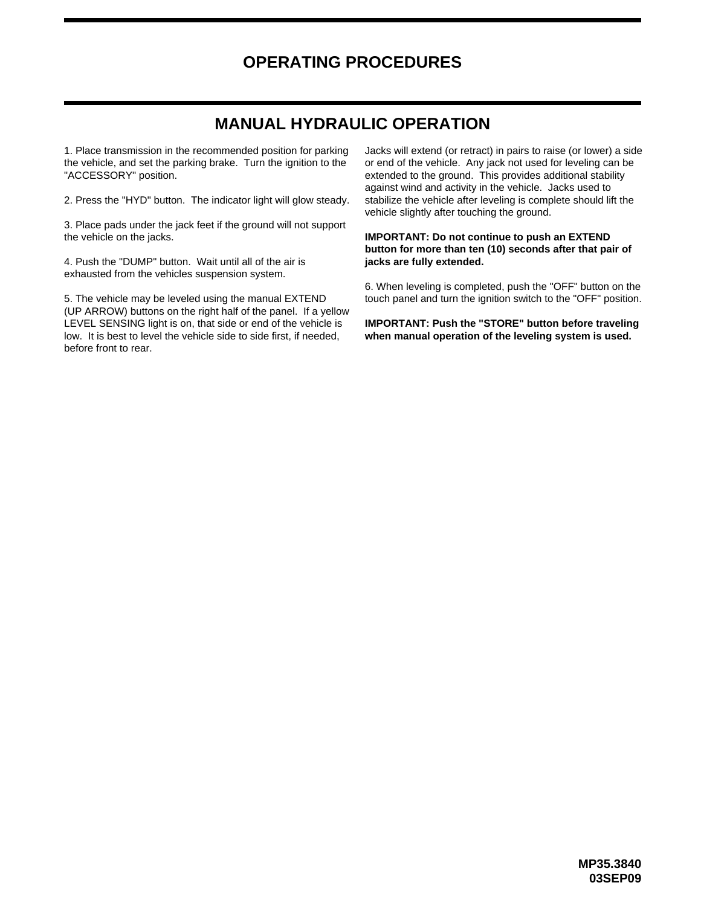#### **OPERATING PROCEDURES**

#### **MANUAL HYDRAULIC OPERATION**

1. Place transmission in the recommended position for parking the vehicle, and set the parking brake. Turn the ignition to the "ACCESSORY" position.

2. Press the "HYD" button. The indicator light will glow steady.

3. Place pads under the jack feet if the ground will not support the vehicle on the jacks.

4. Push the "DUMP" button. Wait until all of the air is **jacks are fully extended.** exhausted from the vehicles suspension system.

5. The vehicle may be leveled using the manual EXTEND (UP ARROW) buttons on the right half of the panel. If a yellow LEVEL SENSING light is on, that side or end of the vehicle is low. It is best to level the vehicle side to side first, if needed, before front to rear.

Jacks will extend (or retract) in pairs to raise (or lower) a side or end of the vehicle. Any jack not used for leveling can be extended to the ground. This provides additional stability against wind and activity in the vehicle. Jacks used to stabilize the vehicle after leveling is complete should lift the vehicle slightly after touching the ground.

#### **IMPORTANT: Do not continue to push an EXTEND button for more than ten (10) seconds after that pair of**

6. When leveling is completed, push the "OFF" button on the touch panel and turn the ignition switch to the "OFF" position.

**when manual operation of the leveling system is used. IMPORTANT: Push the "STORE" button before traveling**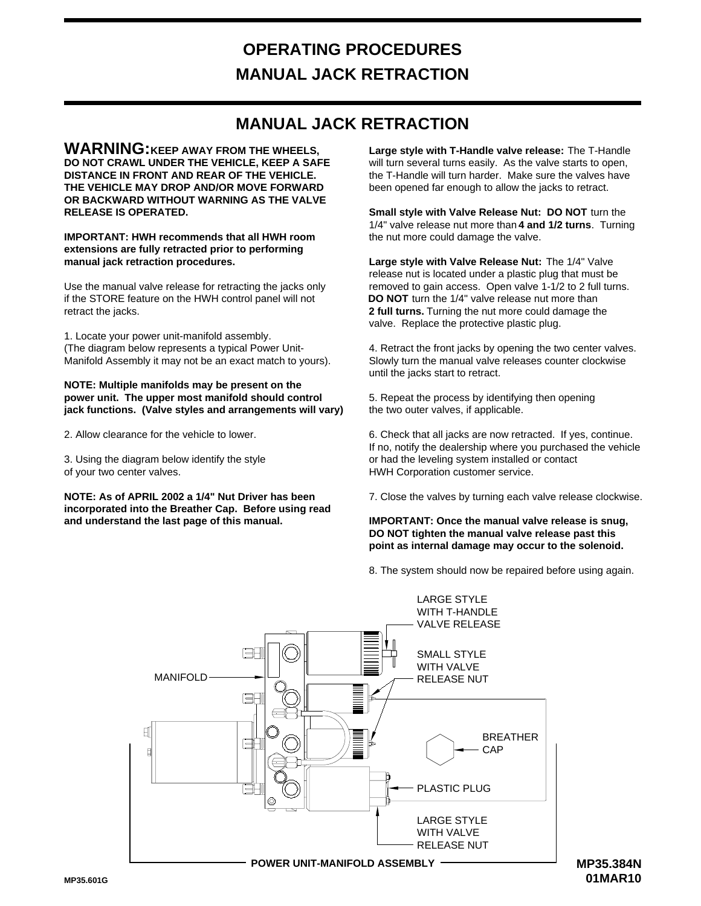# **OPERATING PROCEDURES MANUAL JACK RETRACTION**

#### **MANUAL JACK RETRACTION**

**DO NOT CRAWL UNDER THE VEHICLE, KEEP A SAFE DISTANCE IN FRONT AND REAR OF THE VEHICLE. THE VEHICLE MAY DROP AND/OR MOVE FORWARD OR BACKWARD WITHOUT WARNING AS THE VALVE RELEASE IS OPERATED. WARNING:KEEP AWAY FROM THE WHEELS,**

#### **extensions are fully retracted prior to performing IMPORTANT: HWH recommends that all HWH room manual jack retraction procedures.**

retract the jacks. if the STORE feature on the HWH control panel will not Use the manual valve release for retracting the jacks only

1. Locate your power unit-manifold assembly. (The diagram below represents a typical Power Unit-Manifold Assembly it may not be an exact match to yours).

#### **power unit. The upper most manifold should control NOTE: Multiple manifolds may be present on the jack functions. (Valve styles and arrangements will vary)**

2. Allow clearance for the vehicle to lower.

3. Using the diagram below identify the style of your two center valves.

**incorporated into the Breather Cap. Before using read NOTE: As of APRIL 2002 a 1/4" Nut Driver has been and understand the last page of this manual.**

been opened far enough to allow the jacks to retract. the T-Handle will turn harder. Make sure the valves have will turn several turns easily. As the valve starts to open, **Large style with T-Handle valve release:**  The T-Handle

**Small style with Valve Release Nut: DO NOT**  turn the 1/4" valve release nut more than 4 and 1/2 turns. Turning the nut more could damage the valve.

valve. Replace the protective plastic plug. 2 full turns. Turning the nut more could damage the DO NOT turn the 1/4" valve release nut more than Large style with Valve Release Nut: The 1/4" Valve removed to gain access. Open valve 1-1/2 to 2 full turns. release nut is located under a plastic plug that must be

4. Retract the front jacks by opening the two center valves. Slowly turn the manual valve releases counter clockwise until the jacks start to retract.

5. Repeat the process by identifying then opening the two outer valves, if applicable.

6. Check that all jacks are now retracted. If yes, continue. If no, notify the dealership where you purchased the vehicle or had the leveling system installed or contact HWH Corporation customer service.

7. Close the valves by turning each valve release clockwise.

#### **point as internal damage may occur to the solenoid. DO NOT tighten the manual valve release past this IMPORTANT: Once the manual valve release is snug,**

8. The system should now be repaired before using again.



**MP35.384N 01MAR10**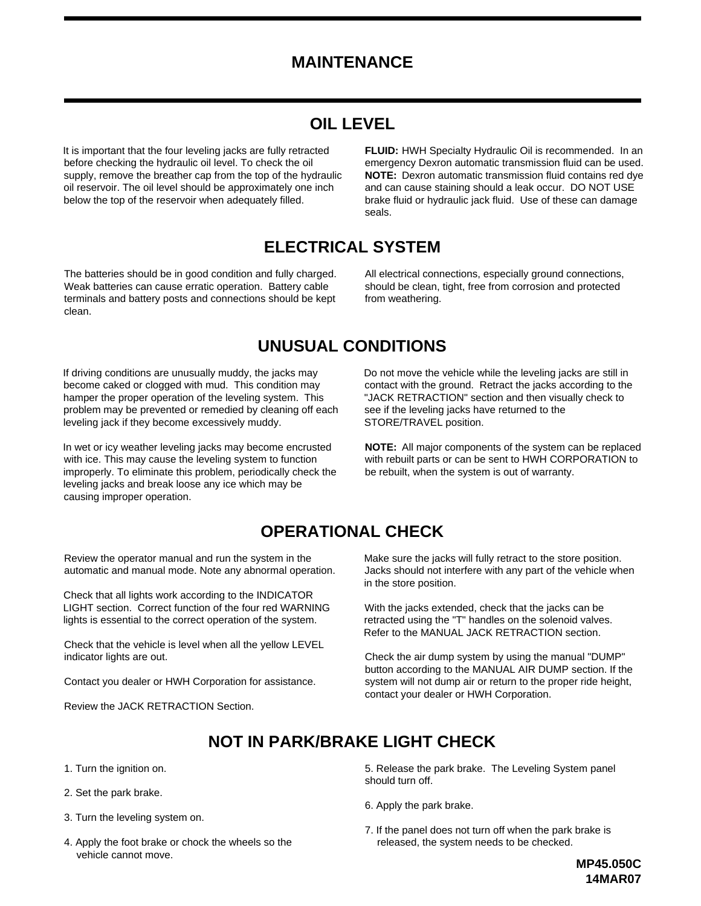#### **MAINTENANCE**

## **OIL LEVEL**

It is important that the four leveling jacks are fully retracted before checking the hydraulic oil level. To check the oil supply, remove the breather cap from the top of the hydraulic oil reservoir. The oil level should be approximately one inch below the top of the reservoir when adequately filled.

**FLUID:** HWH Specialty Hydraulic Oil is recommended. In an brake fluid or hydraulic jack fluid. Use of these can damage and can cause staining should a leak occur. DO NOT USE **NOTE:** Dexron automatic transmission fluid contains red dye emergency Dexron automatic transmission fluid can be used. seals.

#### **ELECTRICAL SYSTEM**

The batteries should be in good condition and fully charged. Weak batteries can cause erratic operation. Battery cable terminals and battery posts and connections should be kept clean.

All electrical connections, especially ground connections, should be clean, tight, free from corrosion and protected from weathering.

#### **UNUSUAL CONDITIONS**

If driving conditions are unusually muddy, the jacks may become caked or clogged with mud. This condition may hamper the proper operation of the leveling system. This problem may be prevented or remedied by cleaning off each leveling jack if they become excessively muddy.

In wet or icy weather leveling jacks may become encrusted with ice. This may cause the leveling system to function improperly. To eliminate this problem, periodically check the leveling jacks and break loose any ice which may be causing improper operation.

Do not move the vehicle while the leveling jacks are still in contact with the ground. Retract the jacks according to the "JACK RETRACTION" section and then visually check to see if the leveling jacks have returned to the STORE/TRAVEL position.

**NOTE:** All major components of the system can be replaced with rebuilt parts or can be sent to HWH CORPORATION to be rebuilt, when the system is out of warranty.

#### **OPERATIONAL CHECK**

Review the operator manual and run the system in the automatic and manual mode. Note any abnormal operation.

Check that all lights work according to the INDICATOR LIGHT section. Correct function of the four red WARNING lights is essential to the correct operation of the system.

Check that the vehicle is level when all the yellow LEVEL indicator lights are out.

Contact you dealer or HWH Corporation for assistance.

Review the JACK RETRACTION Section.

Make sure the jacks will fully retract to the store position. Jacks should not interfere with any part of the vehicle when in the store position.

With the jacks extended, check that the jacks can be retracted using the "T" handles on the solenoid valves. Refer to the MANUAL JACK RETRACTION section.

Check the air dump system by using the manual "DUMP" button according to the MANUAL AIR DUMP section. If the system will not dump air or return to the proper ride height, contact your dealer or HWH Corporation.

## **NOT IN PARK/BRAKE LIGHT CHECK**

- 1. Turn the ignition on.
- 2. Set the park brake.
- 3. Turn the leveling system on.
- 4. Apply the foot brake or chock the wheels so the vehicle cannot move.

5. Release the park brake. The Leveling System panel should turn off.

- 6. Apply the park brake.
- 7. If the panel does not turn off when the park brake is released, the system needs to be checked.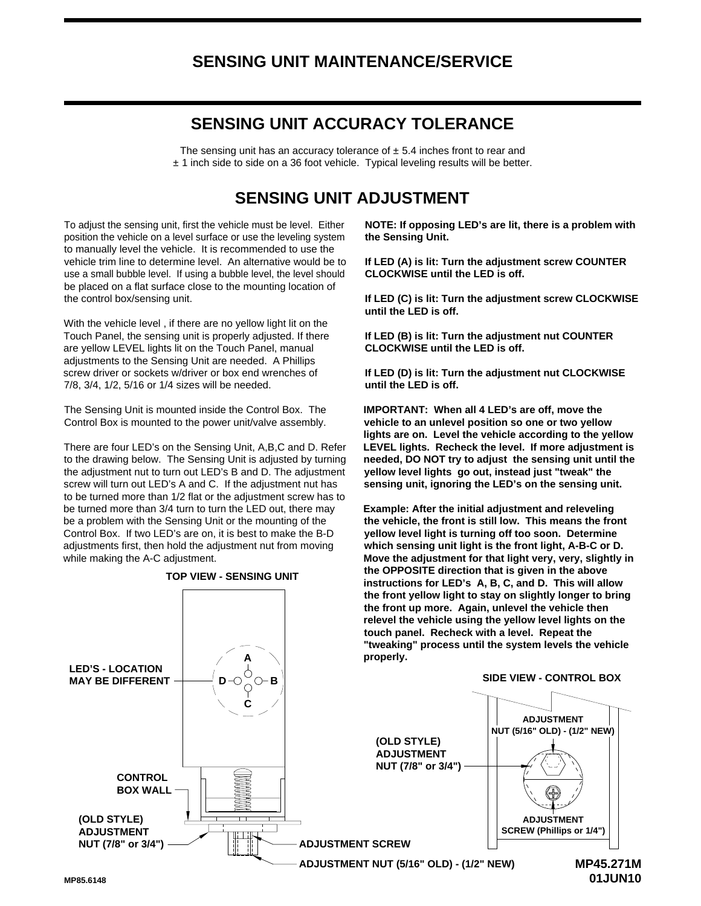#### **SENSING UNIT MAINTENANCE/SERVICE**

#### **SENSING UNIT ACCURACY TOLERANCE**

 $±$  1 inch side to side on a 36 foot vehicle. Typical leveling results will be better. The sensing unit has an accuracy tolerance of  $\pm$  5.4 inches front to rear and

#### **SENSING UNIT ADJUSTMENT**

the control box/sensing unit. be placed on a flat surface close to the mounting location of use a small bubble level. If using a bubble level, the level should vehicle trim line to determine level. An alternative would be to to manually level the vehicle. It is recommended to use the position the vehicle on a level surface or use the leveling system To adjust the sensing unit, first the vehicle must be level. Either

7/8, 3/4, 1/2, 5/16 or 1/4 sizes will be needed. screw driver or sockets w/driver or box end wrenches of adjustments to the Sensing Unit are needed. A Phillips are yellow LEVEL lights lit on the Touch Panel, manual Touch Panel, the sensing unit is properly adjusted. If there With the vehicle level , if there are no yellow light lit on the

Control Box is mounted to the power unit/valve assembly. The Sensing Unit is mounted inside the Control Box. The

There are four LED's on the Sensing Unit, A,B,C and D. Refer while making the A-C adjustment. adjustments first, then hold the adjustment nut from moving Control Box. If two LED's are on, it is best to make the B-D be a problem with the Sensing Unit or the mounting of the be turned more than 3/4 turn to turn the LED out, there may to be turned more than 1/2 flat or the adjustment screw has to screw will turn out LED's A and C. If the adjustment nut has the adjustment nut to turn out LED's B and D. The adjustment to the drawing below. The Sensing Unit is adjusted by turning



**TOP VIEW - SENSING UNIT**

**NOTE: If opposing LED's are lit, there is a problem with the Sensing Unit.**

**If LED (A) is lit: Turn the adjustment screw COUNTER CLOCKWISE until the LED is off.**

**If LED (C) is lit: Turn the adjustment screw CLOCKWISE until the LED is off.**

**If LED (B) is lit: Turn the adjustment nut COUNTER CLOCKWISE until the LED is off.**

**If LED (D) is lit: Turn the adjustment nut CLOCKWISE until the LED is off.**

**LEVEL lights. Recheck the level. If more adjustment is sensing unit, ignoring the LED's on the sensing unit. yellow level lights go out, instead just "tweak" the needed, DO NOT try to adjust the sensing unit until the lights are on. Level the vehicle according to the yellow vehicle to an unlevel position so one or two yellow IMPORTANT: When all 4 LED's are off, move the** 

**"tweaking" process until the system levels the vehicle relevel the vehicle using the yellow level lights on the the front yellow light to stay on slightly longer to bring instructions for LED's A, B, C, and D. This will allow the OPPOSITE direction that is given in the above Move the adjustment for that light very, very, slightly in which sensing unit light is the front light, A-B-C or D. yellow level light is turning off too soon. Determine the vehicle, the front is still low. This means the front Example: After the initial adjustment and releveling** 

**01JUN10**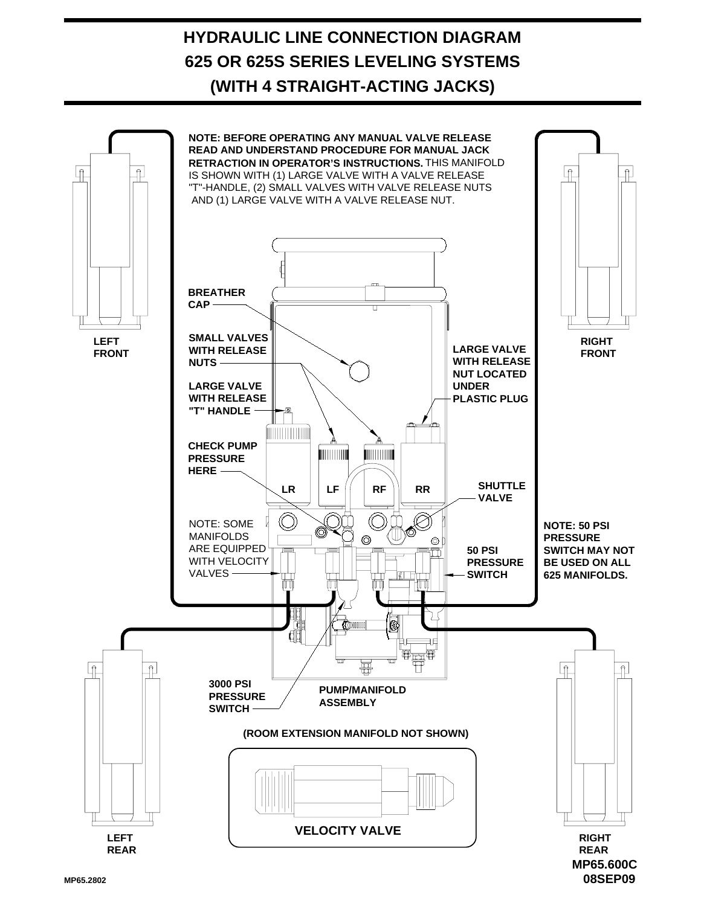# **HYDRAULIC LINE CONNECTION DIAGRAM (WITH 4 STRAIGHT-ACTING JACKS) 625 OR 625S SERIES LEVELING SYSTEMS**



**MP65.2802**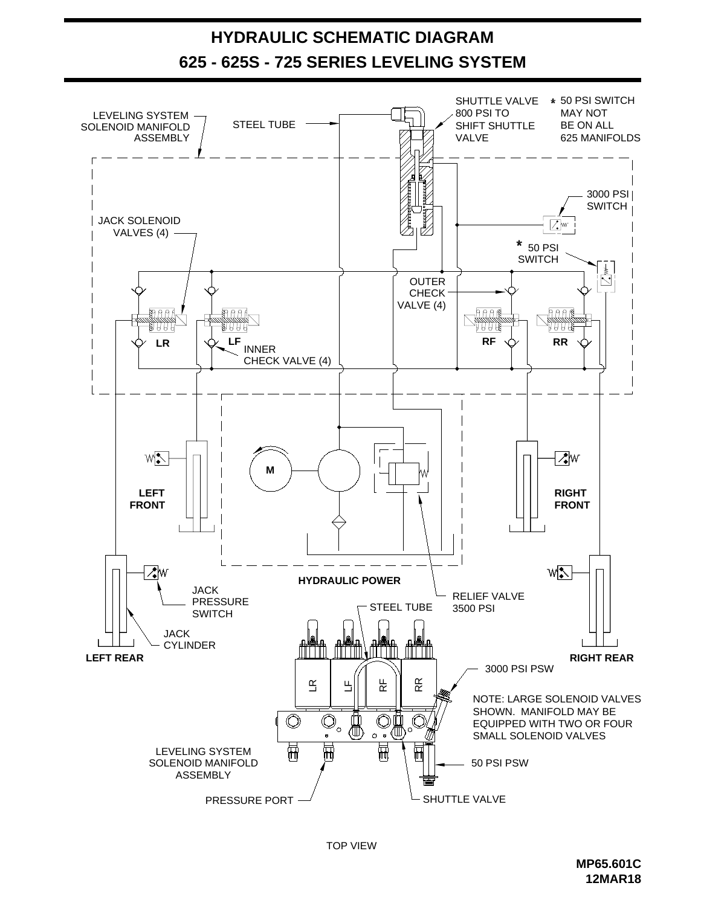

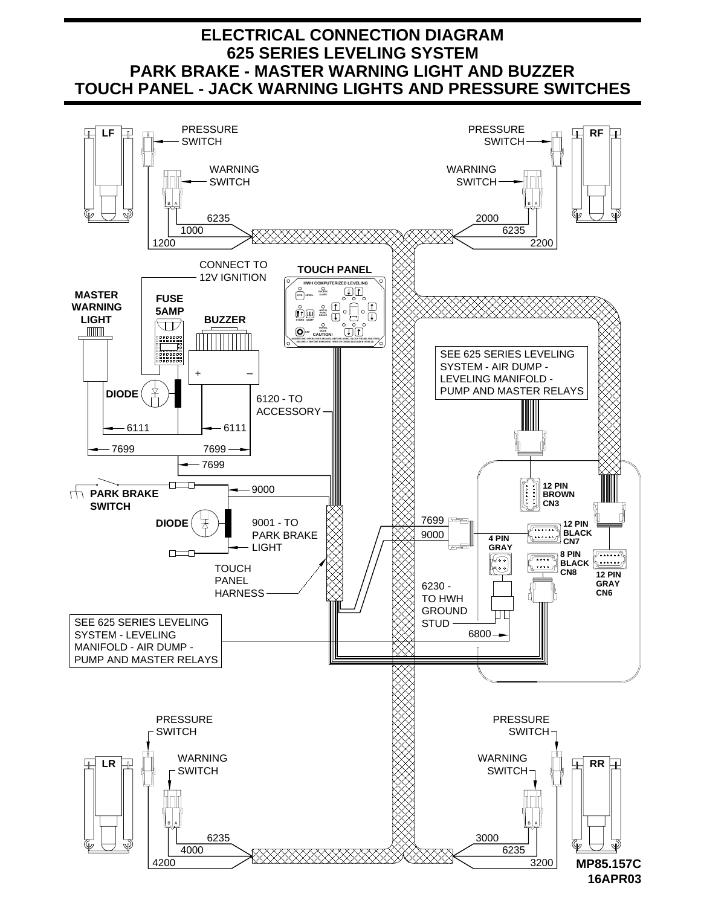#### **ELECTRICAL CONNECTION DIAGRAM 625 SERIES LEVELING SYSTEM TOUCH PANEL - JACK WARNING LIGHTS AND PRESSURE SWITCHES PARK BRAKE - MASTER WARNING LIGHT AND BUZZER**

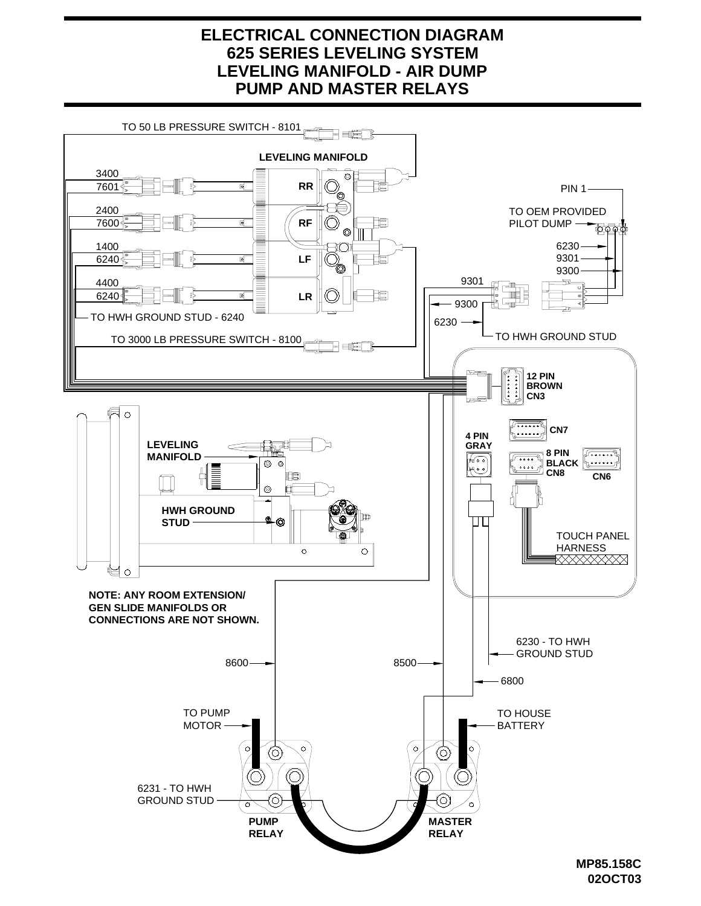#### **LEVELING MANIFOLD - AIR DUMP PUMP AND MASTER RELAYS 625 SERIES LEVELING SYSTEM ELECTRICAL CONNECTION DIAGRAM**



**<sup>02</sup>OCT03**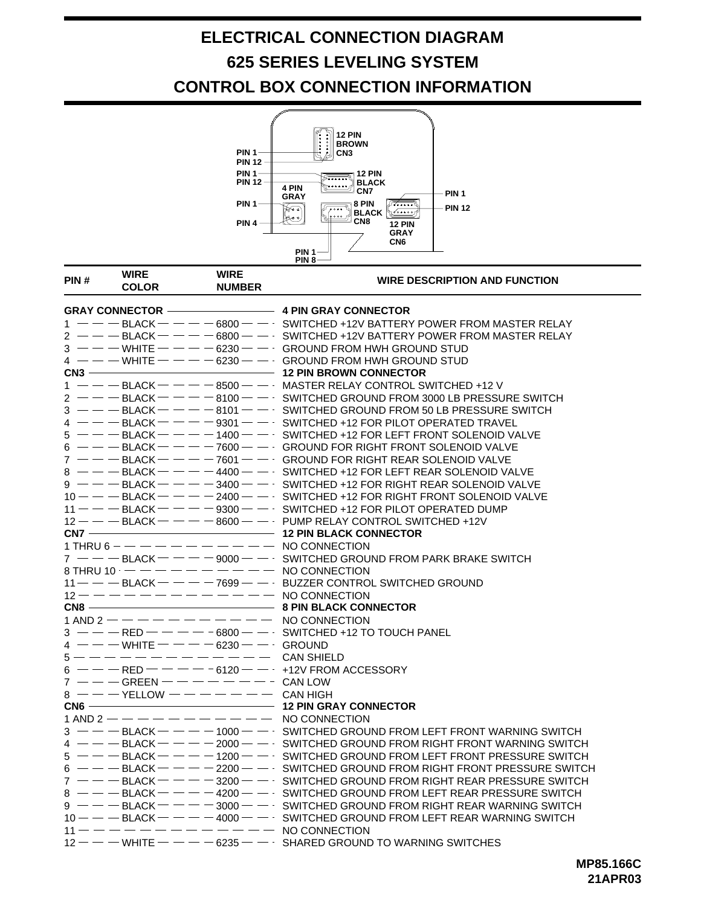# **ELECTRICAL CONNECTION DIAGRAM CONTROL BOX CONNECTION INFORMATION 625 SERIES LEVELING SYSTEM**



| PIN#                                  | <b>WIRE</b><br><b>COLOR</b> | <b>WIRE</b><br><b>NUMBER</b>             | <b>WIRE DESCRIPTION AND FUNCTION</b>                                                                                |
|---------------------------------------|-----------------------------|------------------------------------------|---------------------------------------------------------------------------------------------------------------------|
| GRAY CONNECTOR   4 PIN GRAY CONNECTOR |                             |                                          |                                                                                                                     |
|                                       |                             |                                          | $1 -$ - BLACK - - - - 6800 - - · SWITCHED +12V BATTERY POWER FROM MASTER RELAY                                      |
|                                       |                             |                                          | $2 -  -$ BLACK $   -$ 6800 $  \,$ SWITCHED +12V BATTERY POWER FROM MASTER RELAY                                     |
|                                       |                             |                                          | $3 - -$ White $- - -$ 6230 $ -$ Ground from HWH ground stud                                                         |
|                                       |                             |                                          | $4 - -$ WHITE $--- 6230 - -$ GROUND FROM HWH GROUND STUD                                                            |
|                                       |                             |                                          | CN3 ——————————————————————————————— 12 PIN BROWN CONNECTOR                                                          |
|                                       |                             |                                          | $1 - -$ BLACK $- - -$ 8500 $ -$ MASTER RELAY CONTROL SWITCHED +12 V                                                 |
|                                       |                             |                                          | $2 - -$ BLACK $- - -$ 8100 - $-$ SWITCHED GROUND FROM 3000 LB PRESSURE SWITCH                                       |
|                                       |                             |                                          | $3 - - -$ BLACK $- - - -$ 8101 $- - \cdot$ SWITCHED GROUND FROM 50 LB PRESSURE SWITCH                               |
|                                       |                             |                                          | $4 - -$ BLACK $- - -$ 9301 - $-$ SWITCHED +12 FOR PILOT OPERATED TRAVEL                                             |
|                                       |                             |                                          | $5 - -$ - BLACK $-  -$ 1400 $ -$ SWITCHED +12 FOR LEFT FRONT SOLENOID VALVE                                         |
|                                       |                             |                                          | $6$ ----BLACK----7600--- GROUND FOR RIGHT FRONT SOLENOID VALVE                                                      |
|                                       |                             |                                          | $7 - -$ BLACK $- - -$ 7601 - GROUND FOR RIGHT REAR SOLENOID VALVE                                                   |
|                                       |                             |                                          | 8 $--$ BLACK $- --$ 4400 $  \cdot$ SWITCHED +12 FOR LEFT REAR SOLENOID VALVE                                        |
|                                       |                             |                                          | $9 - - -$ BLACK $- - -$ 3400 $- -$ SWITCHED +12 FOR RIGHT REAR SOLENOID VALVE                                       |
|                                       |                             |                                          | $10 - -$ BLACK $   -$ 2400 $  \cdot$ SWITCHED +12 FOR RIGHT FRONT SOLENOID VALVE                                    |
|                                       |                             |                                          | 11 - - - BLACK - - - - 9300 - - - SWITCHED +12 FOR PILOT OPERATED DUMP                                              |
|                                       |                             |                                          | $12 - -$ BLACK $-$ - $-$ 8600 - - PUMP RELAY CONTROL SWITCHED +12V                                                  |
|                                       |                             |                                          |                                                                                                                     |
|                                       |                             |                                          | 1 THRU 6 – – – – – – – – – – – NO CONNECTION                                                                        |
|                                       |                             |                                          | $7 - -$ BLACK $- - -$ 9000 $- -$ SWITCHED GROUND FROM PARK BRAKE SWITCH                                             |
|                                       |                             |                                          | 8 THRU 10 $---------$ NO CONNECTION                                                                                 |
|                                       |                             |                                          | $11$ - $-$ - BLACK - $-$ - $-$ 7699 - $ \cdot$ BUZZER CONTROL SWITCHED GROUND                                       |
|                                       |                             |                                          | $12 - - - - - - - - - - - -$ NO CONNECTION                                                                          |
|                                       |                             |                                          |                                                                                                                     |
|                                       |                             |                                          | 1 AND 2 $-- -- -- -- ---$ NO CONNECTION                                                                             |
|                                       |                             |                                          | $3 - -$ RED $- - - -$ 6800 $- -$ SWITCHED +12 TO TOUCH PANEL                                                        |
|                                       |                             | $4 - -$ - White $-  -$ 6230 - $-$ Ground |                                                                                                                     |
|                                       |                             |                                          |                                                                                                                     |
|                                       |                             |                                          | $6$ ---RED-----6120---+12V FROM ACCESSORY                                                                           |
|                                       |                             | $7$ ---GREEN--------CAN LOW              |                                                                                                                     |
|                                       |                             | $8$ ---YELLOW ------- CAN HIGH           |                                                                                                                     |
|                                       |                             |                                          |                                                                                                                     |
|                                       |                             |                                          | 1 AND 2 $-- -- -- -- ---$ NO CONNECTION                                                                             |
|                                       |                             |                                          | $3 - -$ BLACK $-  -$ 1000 $ -$ SWITCHED GROUND FROM LEFT FRONT WARNING SWITCH                                       |
|                                       |                             |                                          | $4 - -$ BLACK $- - -$ 2000 $- -$ SWITCHED GROUND FROM RIGHT FRONT WARNING SWITCH                                    |
|                                       |                             |                                          | $5$ ----BLACK----1200--- SWITCHED GROUND FROM LEFT FRONT PRESSURE SWITCH                                            |
|                                       |                             |                                          | 6 $-$ - - BLACK - - - - 2200 - - SWITCHED GROUND FROM RIGHT FRONT PRESSURE SWITCH                                   |
|                                       |                             |                                          | $7 - -$ BLACK $-  -$ 3200 $ -$ SWITCHED GROUND FROM RIGHT REAR PRESSURE SWITCH                                      |
|                                       |                             |                                          | $8$ --- BLACK ---- $-$ 4200 -- SWITCHED GROUND FROM LEFT REAR PRESSURE SWITCH                                       |
|                                       |                             |                                          | $9 - -$ BLACK $  -$ 3000 $ -$ SWITCHED GROUND FROM RIGHT REAR WARNING SWITCH                                        |
|                                       |                             |                                          |                                                                                                                     |
|                                       |                             |                                          | $11 - - - - - - - - - - - - -$ No connection<br>$12 - -$ - WHITE $- - -$ 6235 - - SHARED GROUND TO WARNING SWITCHES |